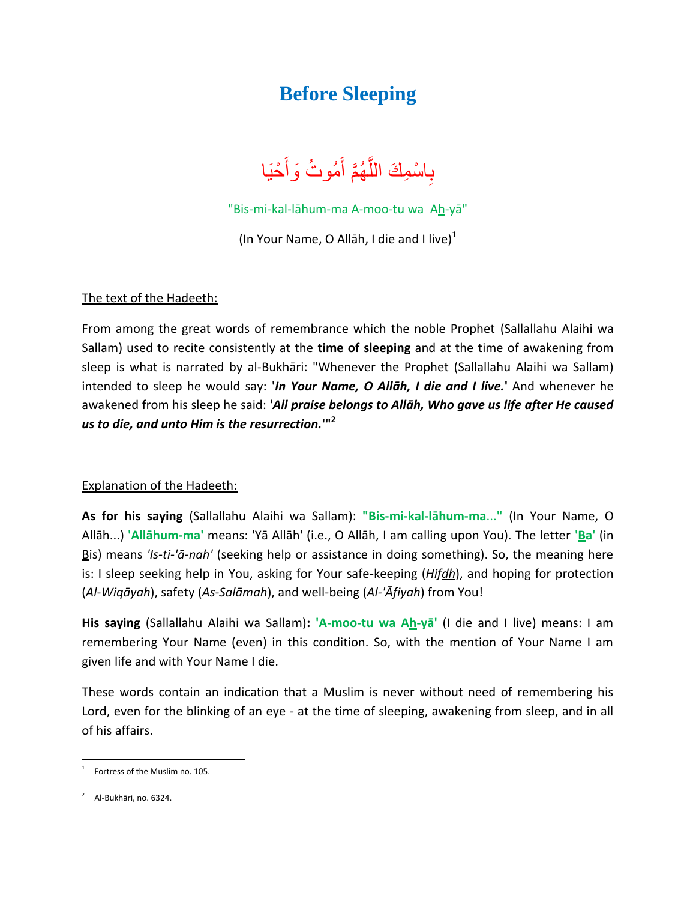## **Before Sleeping**

بِاسْمِكَ اللَّهُمَّ أَمُوتُ وَأَحْيَا ِ ءَ<br>آ َّ  $\tilde{\mathfrak{f}}$  $\tilde{\mathfrak{f}}$ 

"Bis-mi-kal-lāhum-ma A-moo-tu wa Ah-yā"

(In Your Name, O Allāh, I die and I live) $1$ 

## The text of the Hadeeth:

From among the great words of remembrance which the noble Prophet (Sallallahu Alaihi wa Sallam) used to recite consistently at the **time of sleeping** and at the time of awakening from sleep is what is narrated by al-Bukhāri: "Whenever the Prophet (Sallallahu Alaihi wa Sallam) intended to sleep he would say: **'***In Your Name, O Allāh, I die and I live.***'** And whenever he awakened from his sleep he said: '*All praise belongs to Allāh, Who gave us life after He caused us to die, and unto Him is the resurrection.***'" 2**

## Explanation of the Hadeeth:

**As for his saying** (Sallallahu Alaihi wa Sallam): **"Bis-mi-kal-lāhum-ma**...**"** (In Your Name, O Allāh...) **'Allāhum-ma'** means: 'Yā Allāh' (i.e., O Allāh, I am calling upon You). The letter **'Ba'** (in Bis) means *'Is-ti-'ā-nah'* (seeking help or assistance in doing something). So, the meaning here is: I sleep seeking help in You, asking for Your safe-keeping (*Hi[fdh](http://en.wikipedia.org/wiki/%E1%BA%92)*), and hoping for protection (*Al*-*Wiqāyah*), safety (*As*-*Salāmah*), and well-being (*Al-'Ᾱfiyah*) from You!

**His saying** (Sallallahu Alaihi wa Sallam)**: 'A-moo-tu wa Ah-yā'** (I die and I live) means: I am remembering Your Name (even) in this condition. So, with the mention of Your Name I am given life and with Your Name I die.

These words contain an indication that a Muslim is never without need of remembering his Lord, even for the blinking of an eye - at the time of sleeping, awakening from sleep, and in all of his affairs.

 $\overline{a}$ 

<sup>1</sup> Fortress of the Muslim no. 105.

<sup>&</sup>lt;sup>2</sup> Al-Bukhāri, no. 6324.